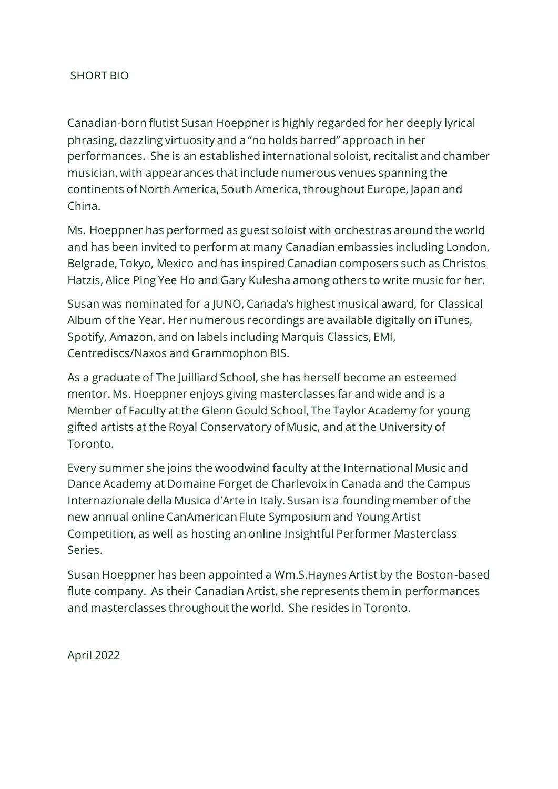## SHORT BIO

Canadian-born flutist Susan Hoeppner is highly regarded for her deeply lyrical phrasing, dazzling virtuosity and a "no holds barred" approach in her performances. She is an established international soloist, recitalist and chamber musician, with appearances that include numerous venues spanning the continents of North America, South America, throughout Europe, Japan and China.

Ms. Hoeppner has performed as guest soloist with orchestras around the world and has been invited to perform at many Canadian embassies including London, Belgrade, Tokyo, Mexico and has inspired Canadian composers such as Christos Hatzis, Alice Ping Yee Ho and Gary Kulesha among others to write music for her.

Susan was nominated for a JUNO, Canada's highest musical award, for Classical Album of the Year. Her numerous recordings are available digitally on iTunes, Spotify, Amazon, and on labels including Marquis Classics, EMI, Centrediscs/Naxos and Grammophon BIS.

As a graduate of The Juilliard School, she has herself become an esteemed mentor. Ms. Hoeppner enjoys giving masterclasses far and wide and is a Member of Faculty at the Glenn Gould School, The Taylor Academy for young gifted artists at the Royal Conservatory of Music, and at the University of Toronto.

Every summer she joins the woodwind faculty at the International Music and Dance Academy at Domaine Forget de Charlevoix in Canada and the Campus Internazionale della Musica d'Arte in Italy. Susan is a founding member of the new annual online CanAmerican Flute Symposium and Young Artist Competition, as well as hosting an online Insightful Performer Masterclass Series.

Susan Hoeppner has been appointed a Wm.S.Haynes Artist by the Boston-based flute company. As their Canadian Artist, she represents them in performances and masterclasses throughout the world. She resides in Toronto.

April 2022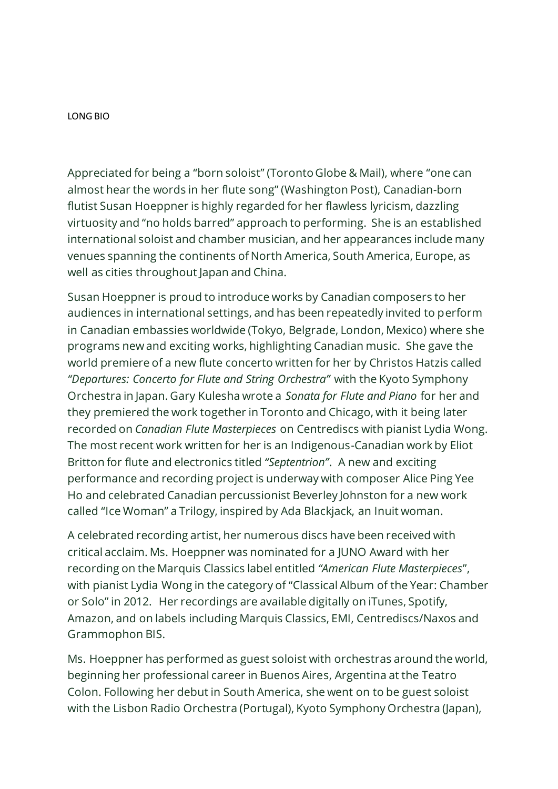LONG BIO

Appreciated for being a "born soloist" (Toronto Globe & Mail), where "one can almost hear the words in her flute song" (Washington Post), Canadian-born flutist Susan Hoeppner is highly regarded for her flawless lyricism, dazzling virtuosity and "no holds barred" approach to performing. She is an established international soloist and chamber musician, and her appearances include many venues spanning the continents of North America, South America, Europe, as well as cities throughout Japan and China.

Susan Hoeppner is proud to introduce works by Canadian composers to her audiences in international settings, and has been repeatedly invited to perform in Canadian embassies worldwide (Tokyo, Belgrade, London, Mexico) where she programs new and exciting works, highlighting Canadian music. She gave the world premiere of a new flute concerto written for her by Christos Hatzis called *"Departures: Concerto for Flute and String Orchestra"* with the Kyoto Symphony Orchestra in Japan. Gary Kulesha wrote a *Sonata for Flute and Piano* for her and they premiered the work together in Toronto and Chicago, with it being later recorded on *Canadian Flute Masterpieces* on Centrediscs with pianist Lydia Wong. The most recent work written for her is an Indigenous-Canadian work by Eliot Britton for flute and electronics titled *"Septentrion"*. A new and exciting performance and recording project is underway with composer Alice Ping Yee Ho and celebrated Canadian percussionist Beverley Johnston for a new work called "Ice Woman" a Trilogy, inspired by Ada Blackjack, an Inuit woman.

A celebrated recording artist, her numerous discs have been received with critical acclaim. Ms. Hoeppner was nominated for a JUNO Award with her recording on the Marquis Classics label entitled *"American Flute Masterpieces*", with pianist Lydia Wong in the category of "Classical Album of the Year: Chamber or Solo" in 2012. Her recordings are available digitally on iTunes, Spotify, Amazon, and on labels including Marquis Classics, EMI, Centrediscs/Naxos and Grammophon BIS.

Ms. Hoeppner has performed as guest soloist with orchestras around the world, beginning her professional career in Buenos Aires, Argentina at the Teatro Colon. Following her debut in South America, she went on to be guest soloist with the Lisbon Radio Orchestra (Portugal), Kyoto Symphony Orchestra (Japan),